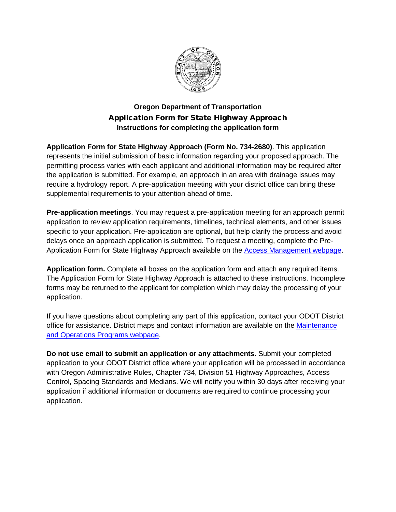

## **Oregon Department of Transportation** Application Form for State Highway Approach **Instructions for completing the application form**

**Application Form for State Highway Approach (Form No. 734-2680)**. This application represents the initial submission of basic information regarding your proposed approach. The permitting process varies with each applicant and additional information may be required after the application is submitted. For example, an approach in an area with drainage issues may require a hydrology report. A pre-application meeting with your district office can bring these supplemental requirements to your attention ahead of time.

**Pre-application meetings**. You may request a pre-application meeting for an approach permit application to review application requirements, timelines, technical elements, and other issues specific to your application. Pre-application are optional, but help clarify the process and avoid delays once an approach application is submitted. To request a meeting, complete the Pre-Application Form for State Highway Approach available on the [Access Management webpage.](http://www.oregon.gov/odot/engineering/pages/access-management.aspx)

**Application form.** Complete all boxes on the application form and attach any required items. The Application Form for State Highway Approach is attached to these instructions. Incomplete forms may be returned to the applicant for completion which may delay the processing of your application.

If you have questions about completing any part of this application, contact your ODOT District office for assistance. District maps and contact information are available on the [Maintenance](http://www.oregon.gov/ODOT/Maintenance/Pages/Maintenance-Services-Program.aspx)  and Operations [Programs webpage.](http://www.oregon.gov/ODOT/Maintenance/Pages/Maintenance-Services-Program.aspx)

**Do not use email to submit an application or any attachments.** Submit your completed application to your ODOT District office where your application will be processed in accordance with Oregon Administrative Rules, Chapter 734, Division 51 Highway Approaches, Access Control, Spacing Standards and Medians. We will notify you within 30 days after receiving your application if additional information or documents are required to continue processing your application.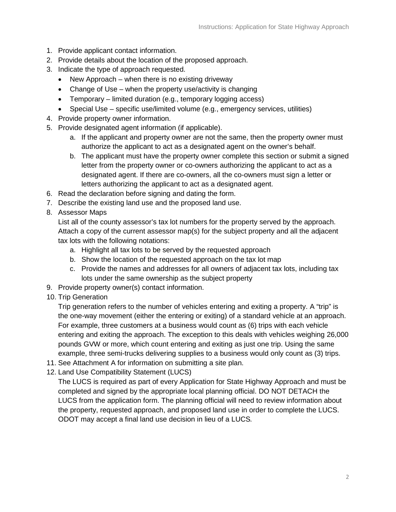- 1. Provide applicant contact information.
- 2. Provide details about the location of the proposed approach.
- 3. Indicate the type of approach requested.
	- New Approach when there is no existing driveway
	- Change of Use when the property use/activity is changing
	- Temporary limited duration (e.g., temporary logging access)
	- Special Use specific use/limited volume (e.g., emergency services, utilities)
- 4. Provide property owner information.
- 5. Provide designated agent information (if applicable).
	- a. If the applicant and property owner are not the same, then the property owner must authorize the applicant to act as a designated agent on the owner's behalf.
	- b. The applicant must have the property owner complete this section or submit a signed letter from the property owner or co-owners authorizing the applicant to act as a designated agent. If there are co-owners, all the co-owners must sign a letter or letters authorizing the applicant to act as a designated agent.
- 6. Read the declaration before signing and dating the form.
- 7. Describe the existing land use and the proposed land use.
- 8. Assessor Maps

List all of the county assessor's tax lot numbers for the property served by the approach. Attach a copy of the current assessor map(s) for the subject property and all the adjacent tax lots with the following notations:

- a. Highlight all tax lots to be served by the requested approach
- b. Show the location of the requested approach on the tax lot map
- c. Provide the names and addresses for all owners of adjacent tax lots, including tax lots under the same ownership as the subject property
- 9. Provide property owner(s) contact information.
- 10. Trip Generation

Trip generation refers to the number of vehicles entering and exiting a property. A "trip" is the one-way movement (either the entering or exiting) of a standard vehicle at an approach. For example, three customers at a business would count as (6) trips with each vehicle entering and exiting the approach. The exception to this deals with vehicles weighing 26,000 pounds GVW or more, which count entering and exiting as just one trip. Using the same example, three semi-trucks delivering supplies to a business would only count as (3) trips.

- 11. See Attachment A for information on submitting a site plan.
- 12. Land Use Compatibility Statement (LUCS)

The LUCS is required as part of every Application for State Highway Approach and must be completed and signed by the appropriate local planning official. DO NOT DETACH the LUCS from the application form. The planning official will need to review information about the property, requested approach, and proposed land use in order to complete the LUCS. ODOT may accept a final land use decision in lieu of a LUCS*.*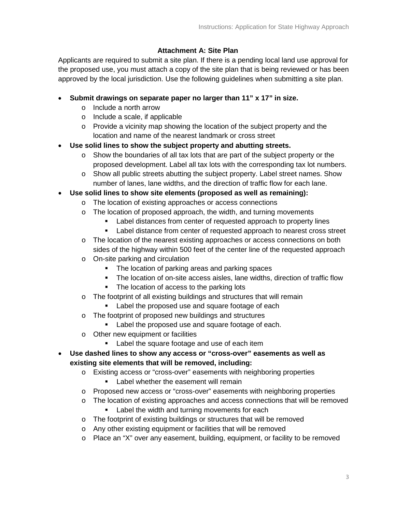## **Attachment A: Site Plan**

Applicants are required to submit a site plan. If there is a pending local land use approval for the proposed use, you must attach a copy of the site plan that is being reviewed or has been approved by the local jurisdiction. Use the following guidelines when submitting a site plan.

- **Submit drawings on separate paper no larger than 11" x 17" in size.**
	- o Include a north arrow
	- o Include a scale, if applicable
	- $\circ$  Provide a vicinity map showing the location of the subject property and the location and name of the nearest landmark or cross street
- **Use solid lines to show the subject property and abutting streets.**
	- $\circ$  Show the boundaries of all tax lots that are part of the subject property or the proposed development. Label all tax lots with the corresponding tax lot numbers.
	- $\circ$  Show all public streets abutting the subject property. Label street names. Show number of lanes, lane widths, and the direction of traffic flow for each lane.
- **Use solid lines to show site elements (proposed as well as remaining):**
	- o The location of existing approaches or access connections
	- $\circ$  The location of proposed approach, the width, and turning movements
		- Label distances from center of requested approach to property lines
		- Label distance from center of requested approach to nearest cross street
	- o The location of the nearest existing approaches or access connections on both sides of the highway within 500 feet of the center line of the requested approach
	- o On-site parking and circulation
		- The location of parking areas and parking spaces
		- The location of on-site access aisles, lane widths, direction of traffic flow
		- The location of access to the parking lots
	- o The footprint of all existing buildings and structures that will remain
		- **Label the proposed use and square footage of each**
	- o The footprint of proposed new buildings and structures
		- **Label the proposed use and square footage of each.**
	- o Other new equipment or facilities
		- **Label the square footage and use of each item**
- **Use dashed lines to show any access or "cross-over" easements as well as existing site elements that will be removed, including:**
	- o Existing access or "cross-over" easements with neighboring properties
		- **Label whether the easement will remain**
	- o Proposed new access or "cross-over" easements with neighboring properties
	- o The location of existing approaches and access connections that will be removed
		- **Label the width and turning movements for each**
	- o The footprint of existing buildings or structures that will be removed
	- o Any other existing equipment or facilities that will be removed
	- o Place an "X" over any easement, building, equipment, or facility to be removed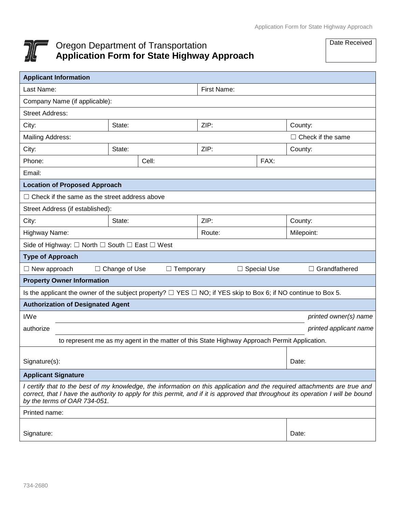

## Oregon Department of Transportation **Application Form for State Highway Approach**

Date Received

| <b>Applicant Information</b>                                                                                                                                                                                                                                                                  |                      |                  |             |                          |                        |
|-----------------------------------------------------------------------------------------------------------------------------------------------------------------------------------------------------------------------------------------------------------------------------------------------|----------------------|------------------|-------------|--------------------------|------------------------|
| Last Name:                                                                                                                                                                                                                                                                                    |                      |                  | First Name: |                          |                        |
| Company Name (if applicable):                                                                                                                                                                                                                                                                 |                      |                  |             |                          |                        |
| <b>Street Address:</b>                                                                                                                                                                                                                                                                        |                      |                  |             |                          |                        |
| City:                                                                                                                                                                                                                                                                                         | State:               |                  | ZIP:        |                          | County:                |
| Mailing Address:                                                                                                                                                                                                                                                                              |                      |                  |             | $\Box$ Check if the same |                        |
| City:                                                                                                                                                                                                                                                                                         | State:               |                  | ZIP:        |                          | County:                |
| Phone:                                                                                                                                                                                                                                                                                        |                      | Cell:            | FAX:        |                          |                        |
| Email:                                                                                                                                                                                                                                                                                        |                      |                  |             |                          |                        |
| <b>Location of Proposed Approach</b>                                                                                                                                                                                                                                                          |                      |                  |             |                          |                        |
| $\Box$ Check if the same as the street address above                                                                                                                                                                                                                                          |                      |                  |             |                          |                        |
| Street Address (if established):                                                                                                                                                                                                                                                              |                      |                  |             |                          |                        |
| City:                                                                                                                                                                                                                                                                                         | State:               |                  | ZIP:        |                          | County:                |
| Highway Name:                                                                                                                                                                                                                                                                                 |                      |                  | Route:      |                          | Milepoint:             |
| Side of Highway: $\square$ North $\square$ South $\square$ East $\square$ West                                                                                                                                                                                                                |                      |                  |             |                          |                        |
| <b>Type of Approach</b>                                                                                                                                                                                                                                                                       |                      |                  |             |                          |                        |
| $\Box$ New approach                                                                                                                                                                                                                                                                           | $\Box$ Change of Use | $\Box$ Temporary |             | $\Box$ Special Use       | $\Box$ Grandfathered   |
| <b>Property Owner Information</b>                                                                                                                                                                                                                                                             |                      |                  |             |                          |                        |
| Is the applicant the owner of the subject property? $\Box$ YES $\Box$ NO; if YES skip to Box 6; if NO continue to Box 5.                                                                                                                                                                      |                      |                  |             |                          |                        |
| <b>Authorization of Designated Agent</b>                                                                                                                                                                                                                                                      |                      |                  |             |                          |                        |
| I/We                                                                                                                                                                                                                                                                                          |                      |                  |             |                          | printed owner(s) name  |
| authorize                                                                                                                                                                                                                                                                                     |                      |                  |             |                          | printed applicant name |
| to represent me as my agent in the matter of this State Highway Approach Permit Application.                                                                                                                                                                                                  |                      |                  |             |                          |                        |
|                                                                                                                                                                                                                                                                                               |                      |                  |             |                          |                        |
| Signature(s):                                                                                                                                                                                                                                                                                 |                      |                  |             |                          | Date:                  |
| <b>Applicant Signature</b>                                                                                                                                                                                                                                                                    |                      |                  |             |                          |                        |
| I certify that to the best of my knowledge, the information on this application and the required attachments are true and<br>correct, that I have the authority to apply for this permit, and if it is approved that throughout its operation I will be bound<br>by the terms of OAR 734-051. |                      |                  |             |                          |                        |
| Printed name:                                                                                                                                                                                                                                                                                 |                      |                  |             |                          |                        |
| Signature:                                                                                                                                                                                                                                                                                    |                      |                  |             |                          | Date:                  |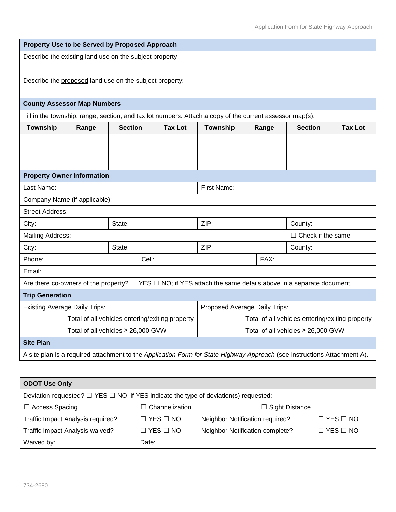| Property Use to be Served by Proposed Approach                                                                           |                                    |                |                                                                                                          |                 |       |                |                |  |
|--------------------------------------------------------------------------------------------------------------------------|------------------------------------|----------------|----------------------------------------------------------------------------------------------------------|-----------------|-------|----------------|----------------|--|
| Describe the existing land use on the subject property:                                                                  |                                    |                |                                                                                                          |                 |       |                |                |  |
| Describe the proposed land use on the subject property:                                                                  |                                    |                |                                                                                                          |                 |       |                |                |  |
|                                                                                                                          | <b>County Assessor Map Numbers</b> |                |                                                                                                          |                 |       |                |                |  |
|                                                                                                                          |                                    |                | Fill in the township, range, section, and tax lot numbers. Attach a copy of the current assessor map(s). |                 |       |                |                |  |
| <b>Township</b>                                                                                                          | Range                              | <b>Section</b> | <b>Tax Lot</b>                                                                                           | <b>Township</b> | Range | <b>Section</b> | <b>Tax Lot</b> |  |
|                                                                                                                          |                                    |                |                                                                                                          |                 |       |                |                |  |
|                                                                                                                          |                                    |                |                                                                                                          |                 |       |                |                |  |
|                                                                                                                          |                                    |                |                                                                                                          |                 |       |                |                |  |
| <b>Property Owner Information</b>                                                                                        |                                    |                |                                                                                                          |                 |       |                |                |  |
| Last Name:                                                                                                               |                                    |                | First Name:                                                                                              |                 |       |                |                |  |
| Company Name (if applicable):                                                                                            |                                    |                |                                                                                                          |                 |       |                |                |  |
| <b>Street Address:</b>                                                                                                   |                                    |                |                                                                                                          |                 |       |                |                |  |
| City:                                                                                                                    |                                    | State:         |                                                                                                          | ZIP:            |       | County:        |                |  |
|                                                                                                                          | Mailing Address:                   |                | $\Box$ Check if the same                                                                                 |                 |       |                |                |  |
| City:                                                                                                                    |                                    | State:         |                                                                                                          | ZIP:            |       | County:        |                |  |
| Phone:                                                                                                                   |                                    |                | Cell:                                                                                                    |                 | FAX:  |                |                |  |
| Email:                                                                                                                   |                                    |                |                                                                                                          |                 |       |                |                |  |
| Are there co-owners of the property? $\Box$ YES $\Box$ NO; if YES attach the same details above in a separate document.  |                                    |                |                                                                                                          |                 |       |                |                |  |
| <b>Trip Generation</b>                                                                                                   |                                    |                |                                                                                                          |                 |       |                |                |  |
| <b>Existing Average Daily Trips:</b>                                                                                     |                                    |                | Proposed Average Daily Trips:                                                                            |                 |       |                |                |  |
| Total of all vehicles entering/exiting property                                                                          |                                    |                | Total of all vehicles entering/exiting property                                                          |                 |       |                |                |  |
| Total of all vehicles $\geq 26,000$ GVW                                                                                  |                                    |                | Total of all vehicles $\geq$ 26,000 GVW                                                                  |                 |       |                |                |  |
| <b>Site Plan</b>                                                                                                         |                                    |                |                                                                                                          |                 |       |                |                |  |
| A site plan is a required attachment to the Application Form for State Highway Approach (see instructions Attachment A). |                                    |                |                                                                                                          |                 |       |                |                |  |

| <b>ODOT Use Only</b>                                                                           |                             |                                 |                            |  |  |
|------------------------------------------------------------------------------------------------|-----------------------------|---------------------------------|----------------------------|--|--|
| Deviation requested? $\Box$ YES $\Box$ NO; if YES indicate the type of deviation(s) requested: |                             |                                 |                            |  |  |
| <b>Access Spacing</b><br>$\Box$                                                                | $\sqsupset$ Channelization. | $\Box$ Sight Distance           |                            |  |  |
| Traffic Impact Analysis required?                                                              | $\Box$ YES $\Box$ NO        | Neighbor Notification required? | $\square$ YES $\square$ NO |  |  |
| Traffic Impact Analysis waived?                                                                | $\Box$ YES $\Box$ NO        | Neighbor Notification complete? | $\square$ YES $\square$ NO |  |  |
| Waived by:                                                                                     | Date:                       |                                 |                            |  |  |